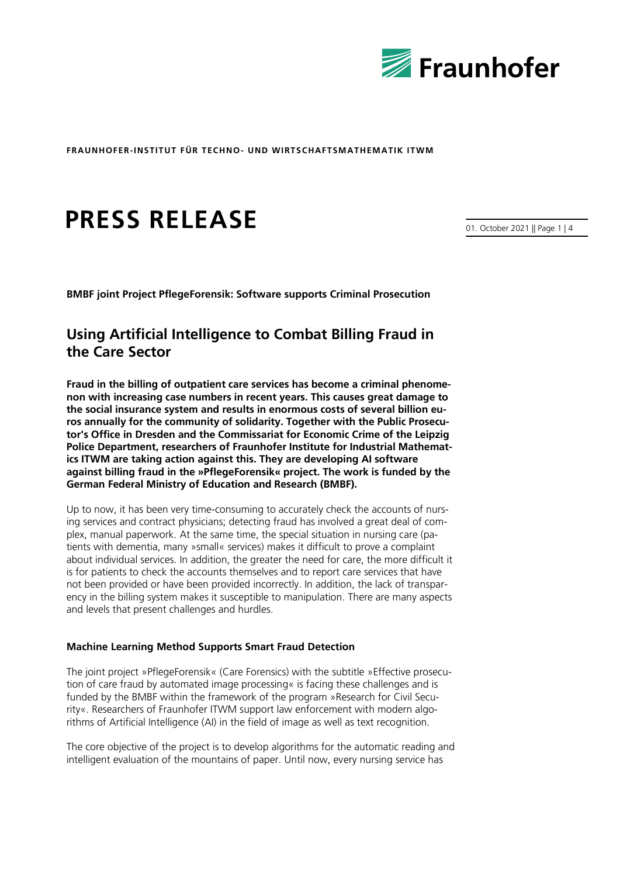

# **PRESS RELEASE**

01. October 2021 || Page 1 | 4

**BMBF joint Project PflegeForensik: Software supports Criminal Prosecution**

# **Using Artificial Intelligence to Combat Billing Fraud in the Care Sector**

**Fraud in the billing of outpatient care services has become a criminal phenomenon with increasing case numbers in recent years. This causes great damage to the social insurance system and results in enormous costs of several billion euros annually for the community of solidarity. Together with the Public Prosecutor's Office in Dresden and the Commissariat for Economic Crime of the Leipzig Police Department, researchers of Fraunhofer Institute for Industrial Mathematics ITWM are taking action against this. They are developing AI software against billing fraud in the »PflegeForensik« project. The work is funded by the German Federal Ministry of Education and Research (BMBF).**

Up to now, it has been very time-consuming to accurately check the accounts of nursing services and contract physicians; detecting fraud has involved a great deal of complex, manual paperwork. At the same time, the special situation in nursing care (patients with dementia, many »small« services) makes it difficult to prove a complaint about individual services. In addition, the greater the need for care, the more difficult it is for patients to check the accounts themselves and to report care services that have not been provided or have been provided incorrectly. In addition, the lack of transparency in the billing system makes it susceptible to manipulation. There are many aspects and levels that present challenges and hurdles.

# **Machine Learning Method Supports Smart Fraud Detection**

The joint project »PflegeForensik« (Care Forensics) with the subtitle »Effective prosecution of care fraud by automated image processing« is facing these challenges and is funded by the BMBF within the framework of the program »Research for Civil Security«. Researchers of Fraunhofer ITWM support law enforcement with modern algorithms of Artificial Intelligence (AI) in the field of image as well as text recognition.

The core objective of the project is to develop algorithms for the automatic reading and intelligent evaluation of the mountains of paper. Until now, every nursing service has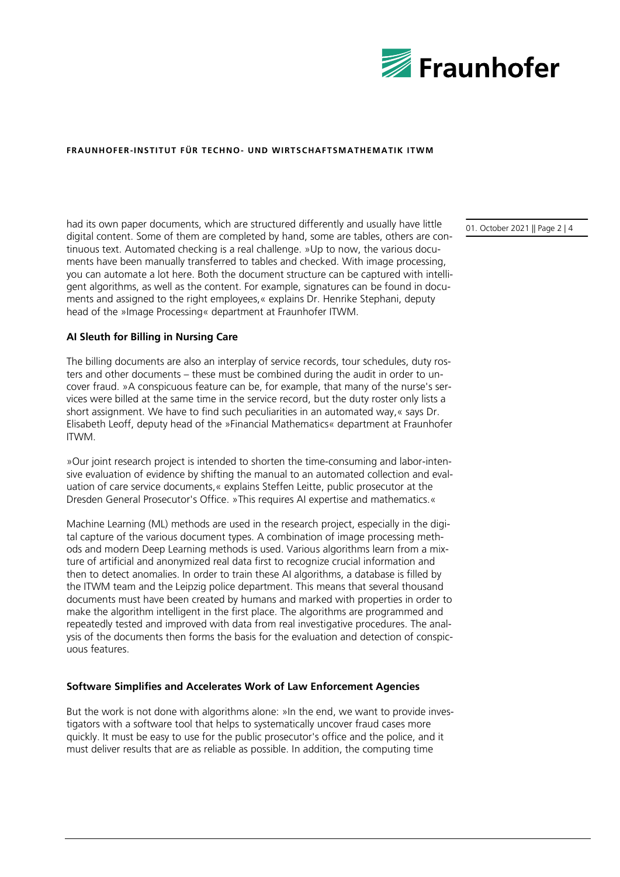

had its own paper documents, which are structured differently and usually have little digital content. Some of them are completed by hand, some are tables, others are continuous text. Automated checking is a real challenge. »Up to now, the various documents have been manually transferred to tables and checked. With image processing, you can automate a lot here. Both the document structure can be captured with intelligent algorithms, as well as the content. For example, signatures can be found in documents and assigned to the right employees,« explains Dr. Henrike Stephani, deputy head of the »Image Processing« department at Fraunhofer ITWM.

# **AI Sleuth for Billing in Nursing Care**

The billing documents are also an interplay of service records, tour schedules, duty rosters and other documents – these must be combined during the audit in order to uncover fraud. »A conspicuous feature can be, for example, that many of the nurse's services were billed at the same time in the service record, but the duty roster only lists a short assignment. We have to find such peculiarities in an automated way,« says Dr. Elisabeth Leoff, deputy head of the »Financial Mathematics« department at Fraunhofer ITWM.

»Our joint research project is intended to shorten the time-consuming and labor-intensive evaluation of evidence by shifting the manual to an automated collection and evaluation of care service documents,« explains Steffen Leitte, public prosecutor at the Dresden General Prosecutor's Office. »This requires AI expertise and mathematics.«

Machine Learning (ML) methods are used in the research project, especially in the digital capture of the various document types. A combination of image processing methods and modern Deep Learning methods is used. Various algorithms learn from a mixture of artificial and anonymized real data first to recognize crucial information and then to detect anomalies. In order to train these AI algorithms, a database is filled by the ITWM team and the Leipzig police department. This means that several thousand documents must have been created by humans and marked with properties in order to make the algorithm intelligent in the first place. The algorithms are programmed and repeatedly tested and improved with data from real investigative procedures. The analysis of the documents then forms the basis for the evaluation and detection of conspicuous features.

#### **Software Simplifies and Accelerates Work of Law Enforcement Agencies**

But the work is not done with algorithms alone: »In the end, we want to provide investigators with a software tool that helps to systematically uncover fraud cases more quickly. It must be easy to use for the public prosecutor's office and the police, and it must deliver results that are as reliable as possible. In addition, the computing time

01. October 2021 || Page 2 | 4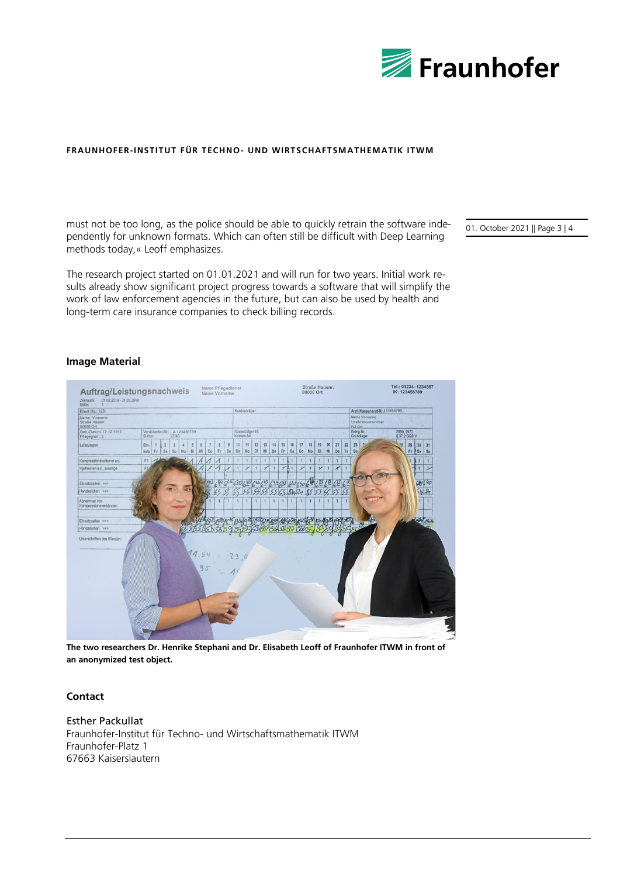

must not be too long, as the police should be able to quickly retrain the software independently for unknown formats. Which can often still be difficult with Deep Learning methods today,« Leoff emphasizes.

The research project started on 01.01.2021 and will run for two years. Initial work results already show significant project progress towards a software that will simplify the work of law enforcement agencies in the future, but can also be used by health and long-term care insurance companies to check billing records.

01. October 2021 || Page 3 | 4

#### **Image Material**

| Klient (Nr.: 123)                            |              |                                                |                                            |         |         |                      |                                 |          |                                |              | Kostenträger |              |              |              |                      |          |                |                                              |                | Arzt (Kassenarzt-Nr. 123456789) |                            |                  |                       |  |
|----------------------------------------------|--------------|------------------------------------------------|--------------------------------------------|---------|---------|----------------------|---------------------------------|----------|--------------------------------|--------------|--------------|--------------|--------------|--------------|----------------------|----------|----------------|----------------------------------------------|----------------|---------------------------------|----------------------------|------------------|-----------------------|--|
| Name, Vorname<br>Straße Hausnr.<br>00000 Ort |              |                                                |                                            |         |         |                      |                                 |          |                                |              |              |              |              |              |                      |          |                | Name Vorname<br>Straße Hausnummer<br>PLZ Ort |                |                                 |                            |                  |                       |  |
| Geb.-Datum: 12.12.1912<br>Pflegegrad: 2      |              | Versicherten-Nr.: A 123456789<br>Status: 12345 |                                            |         |         |                      |                                 |          | Kostenträger-IK:<br>Kassen-Nr: |              |              |              |              |              |                      |          |                |                                              |                | Beleg-Nr.:<br>Grundlage:        | 2990, 2972<br>§ 37.2 SGB V |                  |                       |  |
| Leistungen                                   | Ein-<br>satz | $\mathbf{1}$<br>$\overline{2}$<br>Fr<br>-Sa    | $\mathbf{3}$<br>$\overline{A}$<br>Mo<br>So | 5<br>Di | 6<br>MI | $\overline{7}$<br>Do | $\overline{9}$<br>8<br>Sa<br>Fr | 10<br>So | 11<br>Mo                       | 12<br>DI     | 13<br>M      | 14<br>Do     | 15<br>Fr     | 16<br>Sa     | 17<br>18<br>Mo<br>So | 19<br>DI | 20<br>Mi       | 21<br>Do                                     | 22<br>Fr       | 23<br>Sa                        |                            | 29<br>$Fr$ $s_a$ | 31<br>30<br><b>So</b> |  |
| Kompressionsverband anl.                     | F1           |                                                |                                            |         |         |                      |                                 |          | $\mathbf{1}$                   | $\mathbf{1}$ | 1            | $\mathbf{1}$ | 1.           | 4            | 1.<br>1              |          | 1              | 1                                            |                |                                 |                            |                  | 1                     |  |
| Injektionen s.c., sonstige                   | FI           |                                                |                                            |         |         |                      |                                 |          | ¥                              | 1            | ¥            | 1            | $\mathcal X$ | $\mathbf{1}$ | Y<br>$\mathbf{1}$    | Y        | $\overline{1}$ | $\boldsymbol{r}$                             |                |                                 |                            |                  |                       |  |
| Einsatzzeiten ans                            |              |                                                |                                            |         |         |                      |                                 |          |                                |              |              |              |              |              |                      |          |                | 625 3065 6563 6463 820 140 63 63 63 63       |                |                                 |                            |                  | 120140                |  |
| Handzeichen ==                               |              |                                                |                                            |         |         |                      |                                 |          |                                |              |              |              |              |              | 55551451455556       |          |                | 555                                          |                |                                 |                            |                  |                       |  |
| Abnehmen von<br>Kompressionsverbänden        |              |                                                |                                            |         |         |                      |                                 |          |                                |              |              |              |              |              | $\mathbf{1}$         |          | 1              | $\mathbf{1}$                                 | $\overline{1}$ |                                 |                            |                  |                       |  |
| Einsatzzeiten ==>                            |              |                                                |                                            |         |         |                      |                                 |          |                                |              |              |              |              |              |                      |          |                |                                              |                |                                 |                            |                  |                       |  |
| Handzeichen ==>                              |              |                                                |                                            |         |         |                      |                                 |          |                                |              |              |              |              |              |                      |          |                |                                              |                |                                 |                            |                  |                       |  |
| Unterschriften des Klienten:                 |              |                                                |                                            | 11,54   |         |                      |                                 |          |                                |              |              |              |              |              |                      |          |                |                                              |                |                                 |                            |                  |                       |  |
|                                              |              |                                                |                                            |         | 95      |                      |                                 |          |                                |              |              |              |              |              |                      |          |                |                                              |                |                                 |                            |                  |                       |  |

**The two researchers Dr. Henrike Stephani and Dr. Elisabeth Leoff of Fraunhofer ITWM in front of an anonymized test object.**

## **Contact**

#### Esther Packullat

Fraunhofer-Institut für Techno- und Wirtschaftsmathematik ITWM Fraunhofer-Platz 1 67663 Kaiserslautern